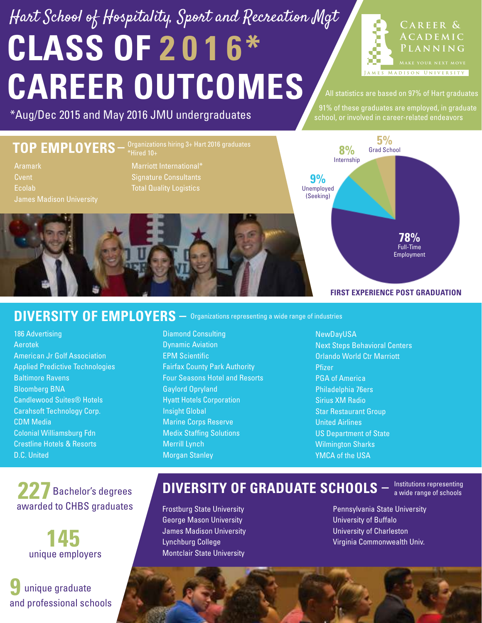## **CLASS OF 2 0 1 6\* CAREER OUTCOMES** Hart School of Hospitality, Sport and Recreation Mgt



All statistics are based on 97% of Hart graduates

\*Aug/Dec 2015 and May 2016 JMU undergraduates and these graduates are employed, in graduate \*

#### **TOP EMPLOYERS** Marriott International\* Signature Consultants Total Quality Logistics Aramark **Cvent** Ecolab **FIRST EXPERIENCE POST GRADUATION** Unemployed (Seeking) **9%** Grad School **5%** Full-Time Employment **78%** Internship **8%**

#### DIVERSITY OF EMPLOYERS  $-$  Organizations representing a wide range of industries

186 Advertising Aerotek American Jr Golf Association Applied Predictive Technologies Baltimore Ravens Bloomberg BNA Candlewood Suites® Hotels Carahsoft Technology Corp. CDM Media Colonial Williamsburg Fdn Crestline Hotels & Resorts D.C. United

 Bachelor's degrees **227** awarded to CHBS graduates

> **145** unique employers

**9** unique graduate and professional schools

#### Diamond Consulting Dynamic Aviation EPM Scientific Fairfax County Park Authority Four Seasons Hotel and Resorts Gaylord Opryland Hyatt Hotels Corporation Insight Global Marine Corps Reserve Medix Staffing Solutions Merrill Lynch Morgan Stanley

NewDayUSA Next Steps Behavioral Centers Orlando World Ctr Marriott Pfizer PGA of America Philadelphia 76ers Sirius XM Radio **Star Restaurant Group** United Airlines US Department of State Wilmington Sharks YMCA of the USA

## **DIVERSITY OF GRADUATE SCHOOLS**  $-$  lnstitutions representing

Frostburg State University George Mason University James Madison University Lynchburg College Montclair State University

Pennsylvania State University University of Buffalo University of Charleston Virginia Commonwealth Univ.